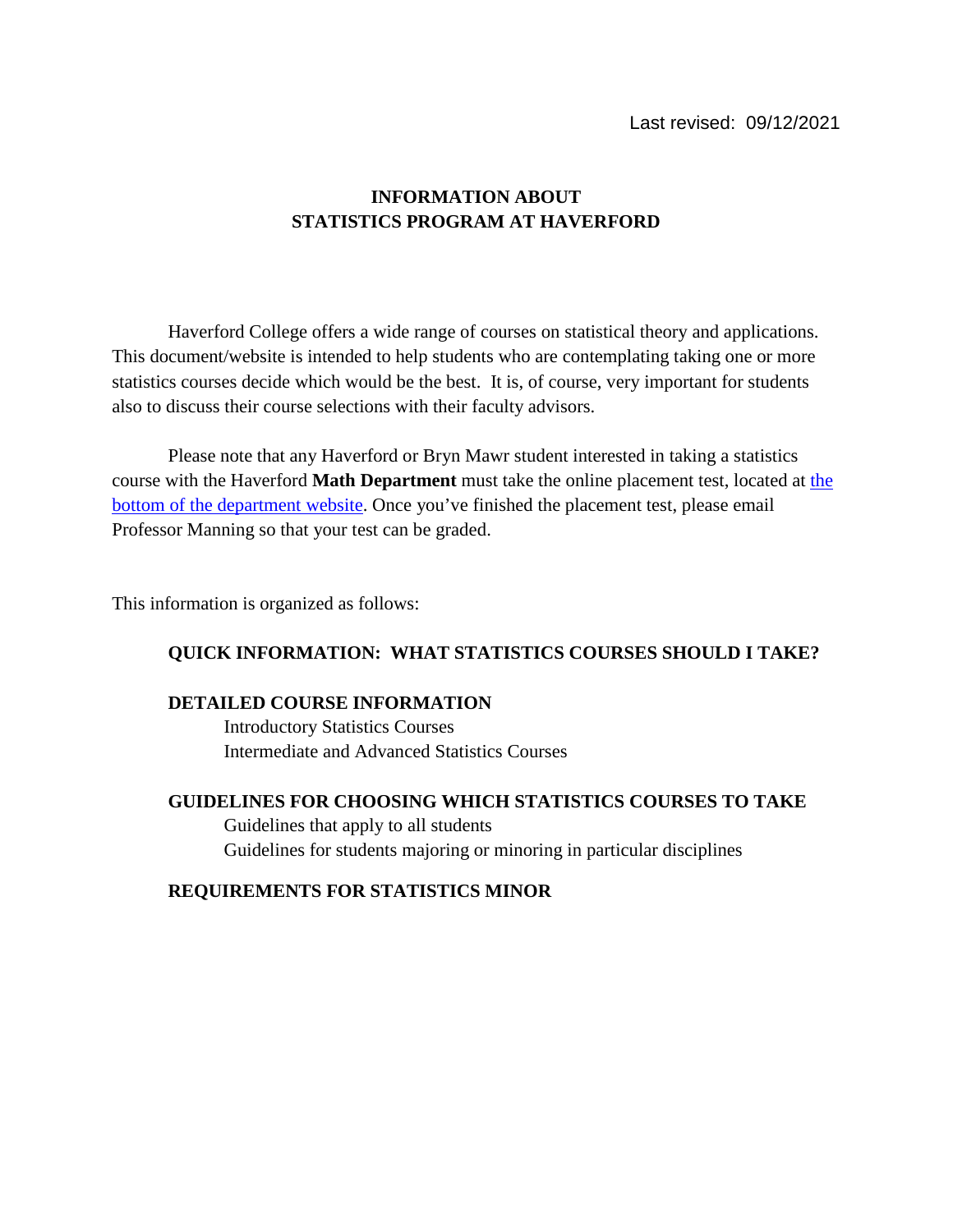# **INFORMATION ABOUT STATISTICS PROGRAM AT HAVERFORD**

Haverford College offers a wide range of courses on statistical theory and applications. This document/website is intended to help students who are contemplating taking one or more statistics courses decide which would be the best. It is, of course, very important for students also to discuss their course selections with their faculty advisors.

Please note that any Haverford or Bryn Mawr student interested in taking a statistics course with the Haverford **Math Department** must take the online placement test, located at [the](https://www.haverford.edu/mathematics-and-statistics)  [bottom of the department website.](https://www.haverford.edu/mathematics-and-statistics) Once you've finished the placement test, please email Professor Manning so that your test can be graded.

This information is organized as follows:

# **QUICK INFORMATION: WHAT STATISTICS COURSES SHOULD I TAKE?**

#### **DETAILED COURSE INFORMATION**

Introductory Statistics Courses Intermediate and Advanced Statistics Courses

## **GUIDELINES FOR CHOOSING WHICH STATISTICS COURSES TO TAKE**

Guidelines that apply to all students Guidelines for students majoring or minoring in particular disciplines

## **REQUIREMENTS FOR STATISTICS MINOR**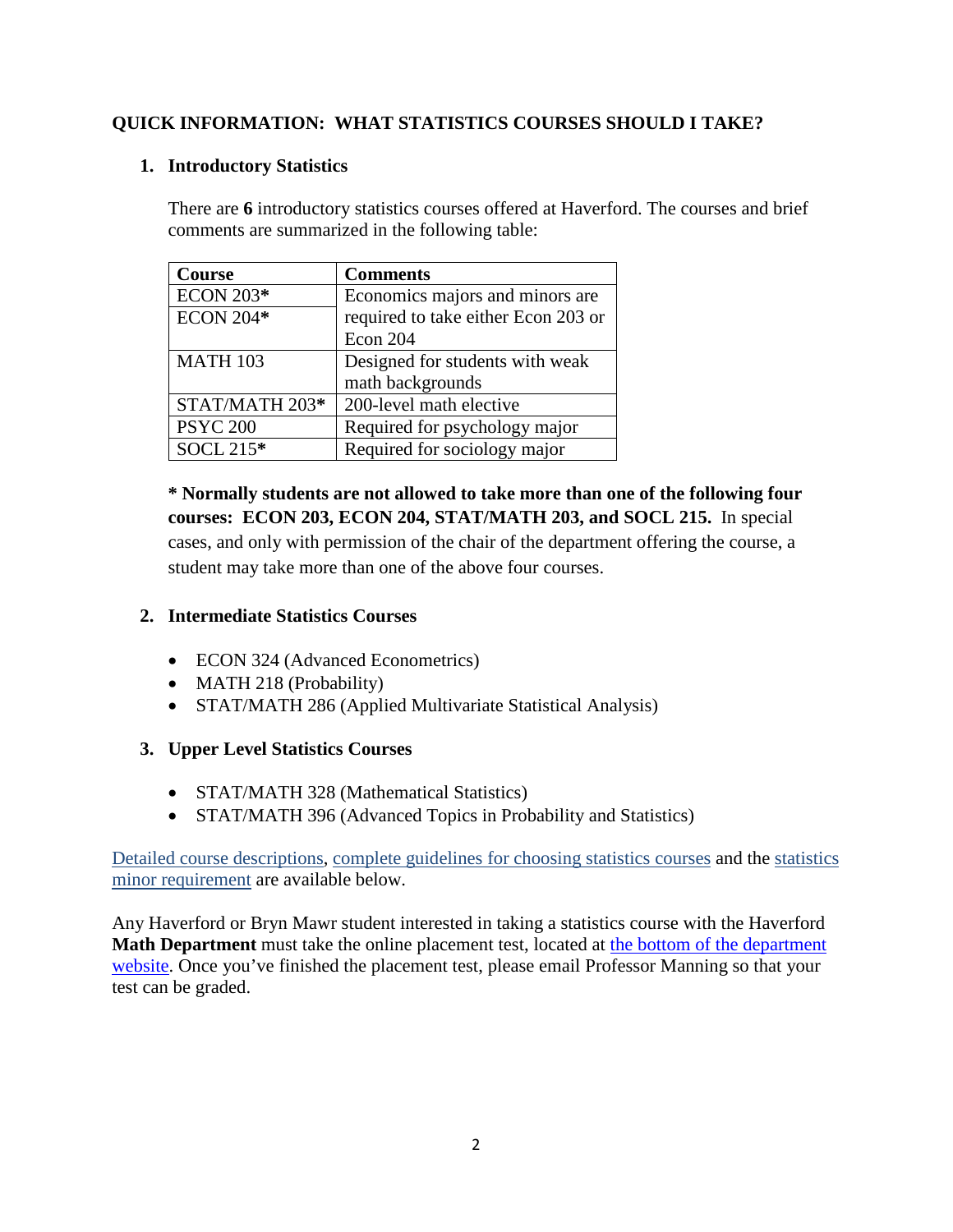# **QUICK INFORMATION: WHAT STATISTICS COURSES SHOULD I TAKE?**

## **1. Introductory Statistics**

There are **6** introductory statistics courses offered at Haverford. The courses and brief comments are summarized in the following table:

| <b>Course</b>    | <b>Comments</b>                     |
|------------------|-------------------------------------|
| <b>ECON 203*</b> | Economics majors and minors are     |
| <b>ECON 204*</b> | required to take either Econ 203 or |
|                  | Econ 204                            |
| <b>MATH 103</b>  | Designed for students with weak     |
|                  | math backgrounds                    |
| STAT/MATH 203*   | 200-level math elective             |
| <b>PSYC 200</b>  | Required for psychology major       |
| SOCL 215*        | Required for sociology major        |

**\* Normally students are not allowed to take more than one of the following four courses: ECON 203, ECON 204, STAT/MATH 203, and SOCL 215.** In special cases, and only with permission of the chair of the department offering the course, a student may take more than one of the above four courses.

# **2. Intermediate Statistics Courses**

- ECON 324 (Advanced Econometrics)
- MATH 218 (Probability)
- STAT/MATH 286 (Applied Multivariate Statistical Analysis)

# **3. Upper Level Statistics Courses**

- STAT/MATH 328 (Mathematical Statistics)
- STAT/MATH 396 (Advanced Topics in Probability and Statistics)

Detailed course descriptions, complete guidelines for choosing statistics courses and the statistics minor requirement are available below.

Any Haverford or Bryn Mawr student interested in taking a statistics course with the Haverford **Math Department** must take the online placement test, located at [the bottom of the department](https://www.haverford.edu/mathematics-and-statistics)  [website.](https://www.haverford.edu/mathematics-and-statistics) Once you've finished the placement test, please email Professor Manning so that your test can be graded.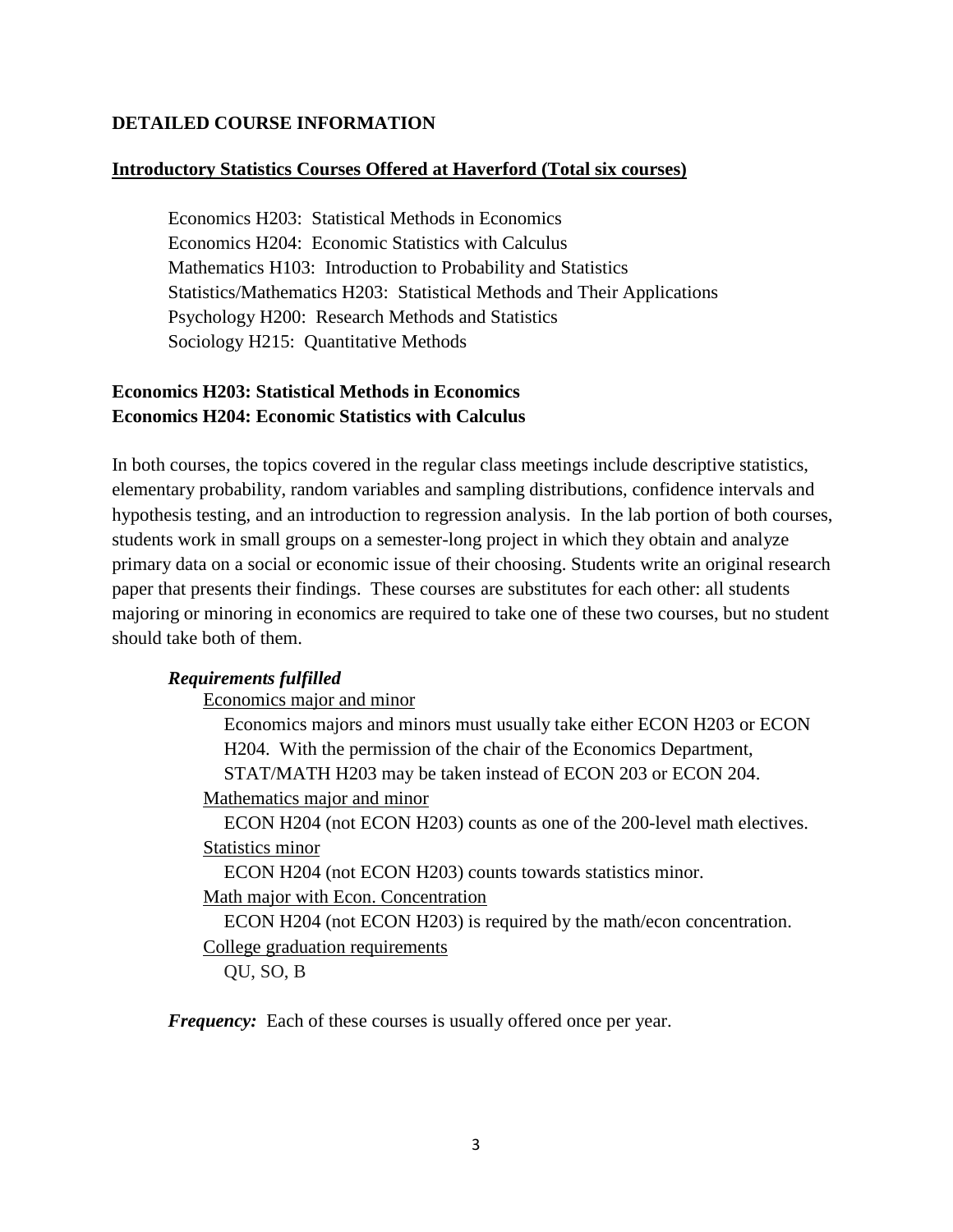# **DETAILED COURSE INFORMATION**

#### **Introductory Statistics Courses Offered at Haverford (Total six courses)**

Economics H203: Statistical Methods in Economics Economics H204: Economic Statistics with Calculus Mathematics H103: Introduction to Probability and Statistics Statistics/Mathematics H203: Statistical Methods and Their Applications Psychology H200: Research Methods and Statistics Sociology H215: Quantitative Methods

# **Economics H203: Statistical Methods in Economics Economics H204: Economic Statistics with Calculus**

In both courses, the topics covered in the regular class meetings include descriptive statistics, elementary probability, random variables and sampling distributions, confidence intervals and hypothesis testing, and an introduction to regression analysis. In the lab portion of both courses, students work in small groups on a semester-long project in which they obtain and analyze primary data on a social or economic issue of their choosing. Students write an original research paper that presents their findings. These courses are substitutes for each other: all students majoring or minoring in economics are required to take one of these two courses, but no student should take both of them.

## *Requirements fulfilled*

Economics major and minor

Economics majors and minors must usually take either ECON H203 or ECON H204. With the permission of the chair of the Economics Department,

STAT/MATH H203 may be taken instead of ECON 203 or ECON 204.

Mathematics major and minor

ECON H204 (not ECON H203) counts as one of the 200-level math electives. Statistics minor

ECON H204 (not ECON H203) counts towards statistics minor.

Math major with Econ. Concentration

ECON H204 (not ECON H203) is required by the math/econ concentration.

College graduation requirements

QU, SO, B

*Frequency:* Each of these courses is usually offered once per year.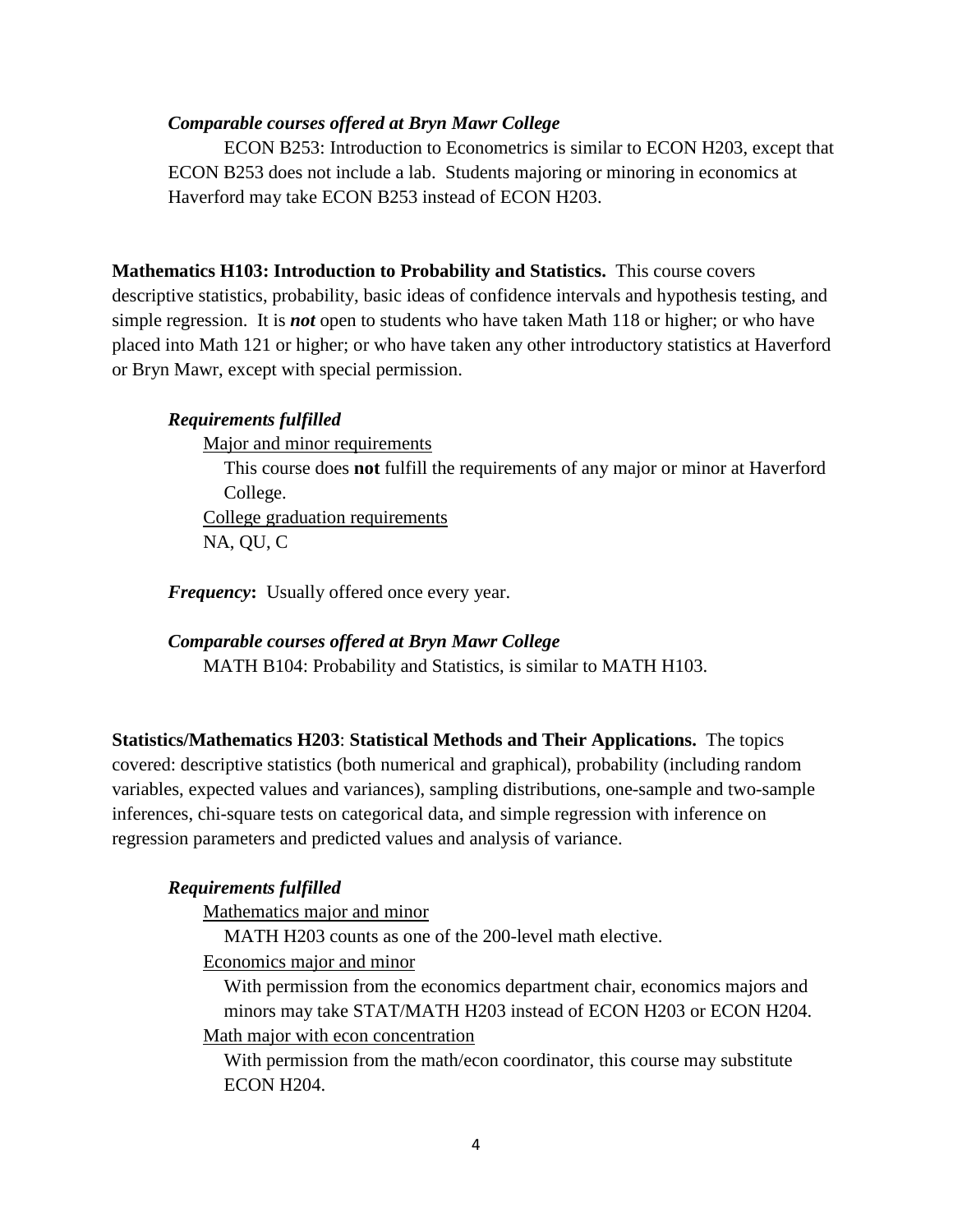### *Comparable courses offered at Bryn Mawr College*

ECON B253: Introduction to Econometrics is similar to ECON H203, except that ECON B253 does not include a lab. Students majoring or minoring in economics at Haverford may take ECON B253 instead of ECON H203.

**Mathematics H103: Introduction to Probability and Statistics.** This course covers descriptive statistics, probability, basic ideas of confidence intervals and hypothesis testing, and simple regression. It is *not* open to students who have taken Math 118 or higher; or who have placed into Math 121 or higher; or who have taken any other introductory statistics at Haverford or Bryn Mawr, except with special permission.

#### *Requirements fulfilled*

Major and minor requirements

This course does **not** fulfill the requirements of any major or minor at Haverford College.

College graduation requirements NA, QU, C

*Frequency***:** Usually offered once every year.

*Comparable courses offered at Bryn Mawr College*

MATH B104: Probability and Statistics, is similar to MATH H103.

**Statistics/Mathematics H203**: **Statistical Methods and Their Applications.** The topics covered: descriptive statistics (both numerical and graphical), probability (including random variables, expected values and variances), sampling distributions, one-sample and two-sample inferences, chi-square tests on categorical data, and simple regression with inference on regression parameters and predicted values and analysis of variance.

#### *Requirements fulfilled*

Mathematics major and minor

MATH H203 counts as one of the 200-level math elective.

Economics major and minor

With permission from the economics department chair, economics majors and minors may take STAT/MATH H203 instead of ECON H203 or ECON H204. Math major with econ concentration

With permission from the math/econ coordinator, this course may substitute ECON H204.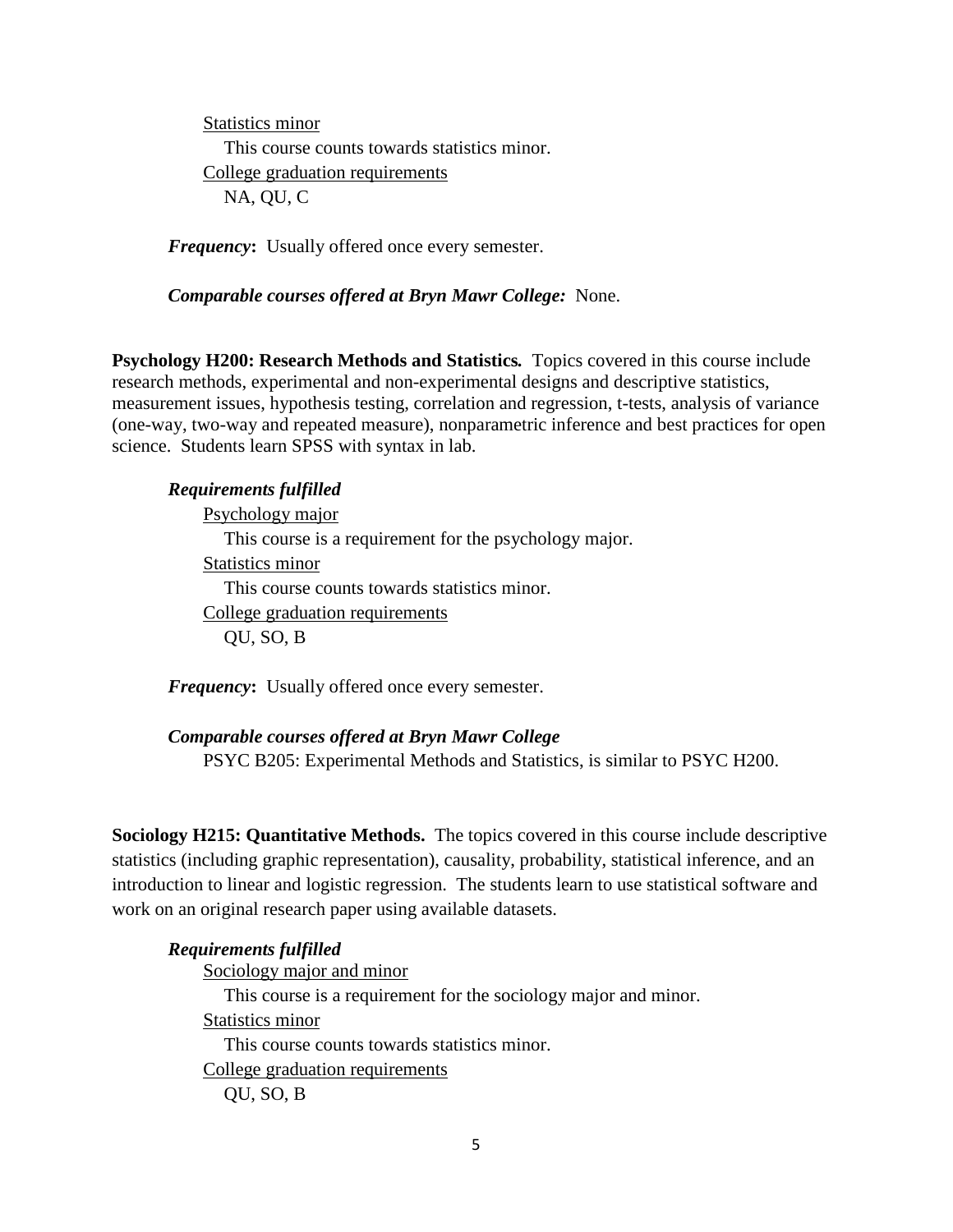Statistics minor This course counts towards statistics minor. College graduation requirements NA, QU, C

*Frequency***:** Usually offered once every semester.

*Comparable courses offered at Bryn Mawr College:* None.

**Psychology H200: Research Methods and Statistics***.*Topics covered in this course include research methods, experimental and non-experimental designs and descriptive statistics, measurement issues, hypothesis testing, correlation and regression, t-tests, analysis of variance (one-way, two-way and repeated measure), nonparametric inference and best practices for open science. Students learn SPSS with syntax in lab.

## *Requirements fulfilled*

Psychology major This course is a requirement for the psychology major. Statistics minor This course counts towards statistics minor. College graduation requirements QU, SO, B

*Frequency***:** Usually offered once every semester.

*Comparable courses offered at Bryn Mawr College* PSYC B205: Experimental Methods and Statistics, is similar to PSYC H200.

**Sociology H215: Quantitative Methods.** The topics covered in this course include descriptive statistics (including graphic representation), causality, probability, statistical inference, and an introduction to linear and logistic regression. The students learn to use statistical software and work on an original research paper using available datasets.

# *Requirements fulfilled* Sociology major and minor This course is a requirement for the sociology major and minor. Statistics minor This course counts towards statistics minor. College graduation requirements QU, SO, B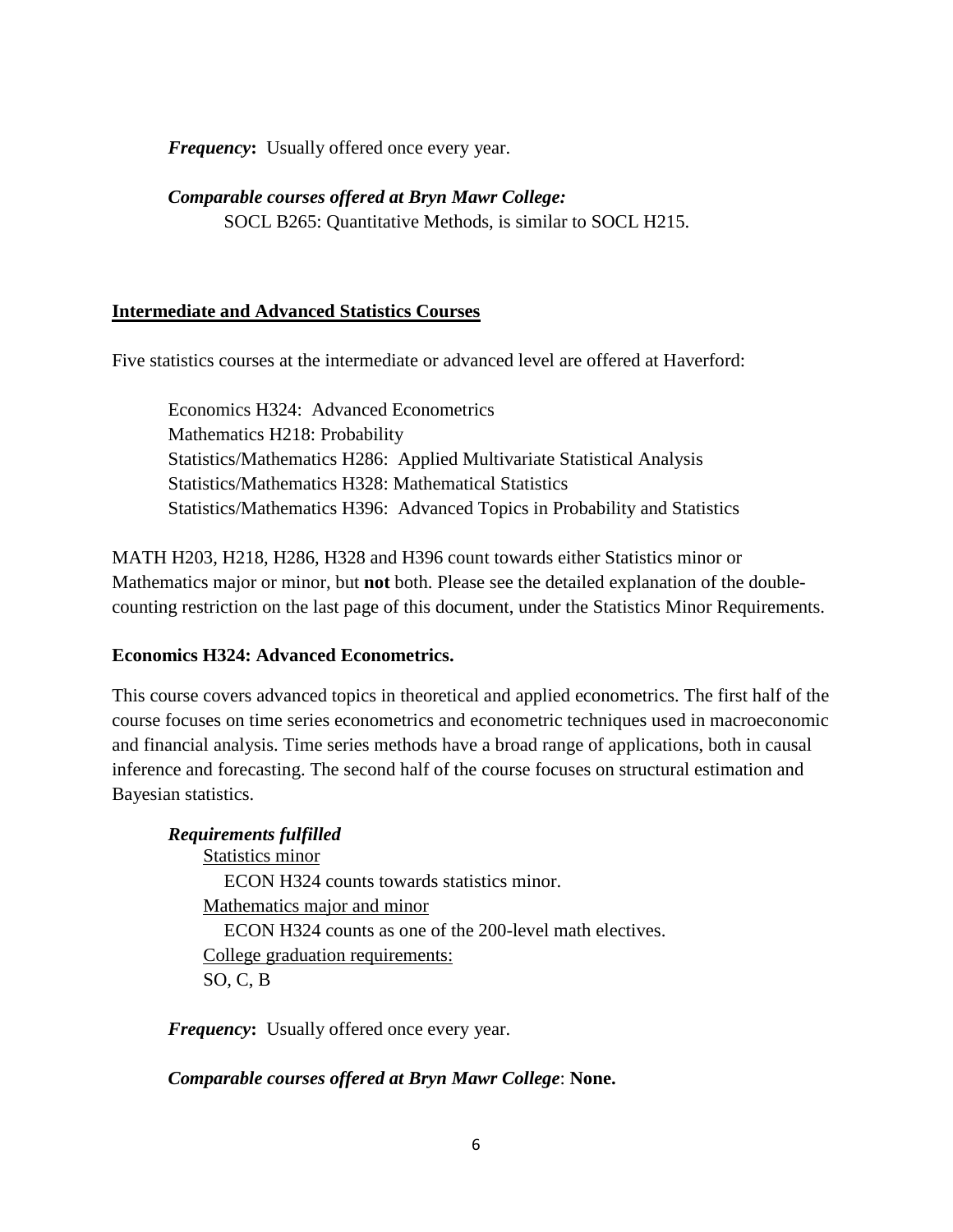*Frequency***:** Usually offered once every year.

*Comparable courses offered at Bryn Mawr College:*

SOCL B265: Quantitative Methods, is similar to SOCL H215.

## **Intermediate and Advanced Statistics Courses**

Five statistics courses at the intermediate or advanced level are offered at Haverford:

Economics H324: Advanced Econometrics Mathematics H218: Probability Statistics/Mathematics H286: Applied Multivariate Statistical Analysis Statistics/Mathematics H328: Mathematical Statistics Statistics/Mathematics H396: Advanced Topics in Probability and Statistics

MATH H203, H218, H286, H328 and H396 count towards either Statistics minor or Mathematics major or minor, but **not** both. Please see the detailed explanation of the doublecounting restriction on the last page of this document, under the Statistics Minor Requirements.

#### **Economics H324: Advanced Econometrics.**

This course covers advanced topics in theoretical and applied econometrics. The first half of the course focuses on time series econometrics and econometric techniques used in macroeconomic and financial analysis. Time series methods have a broad range of applications, both in causal inference and forecasting. The second half of the course focuses on structural estimation and Bayesian statistics.

## *Requirements fulfilled*

Statistics minor ECON H324 counts towards statistics minor. Mathematics major and minor ECON H324 counts as one of the 200-level math electives. College graduation requirements: SO, C, B

*Frequency***:** Usually offered once every year.

### *Comparable courses offered at Bryn Mawr College*: **None.**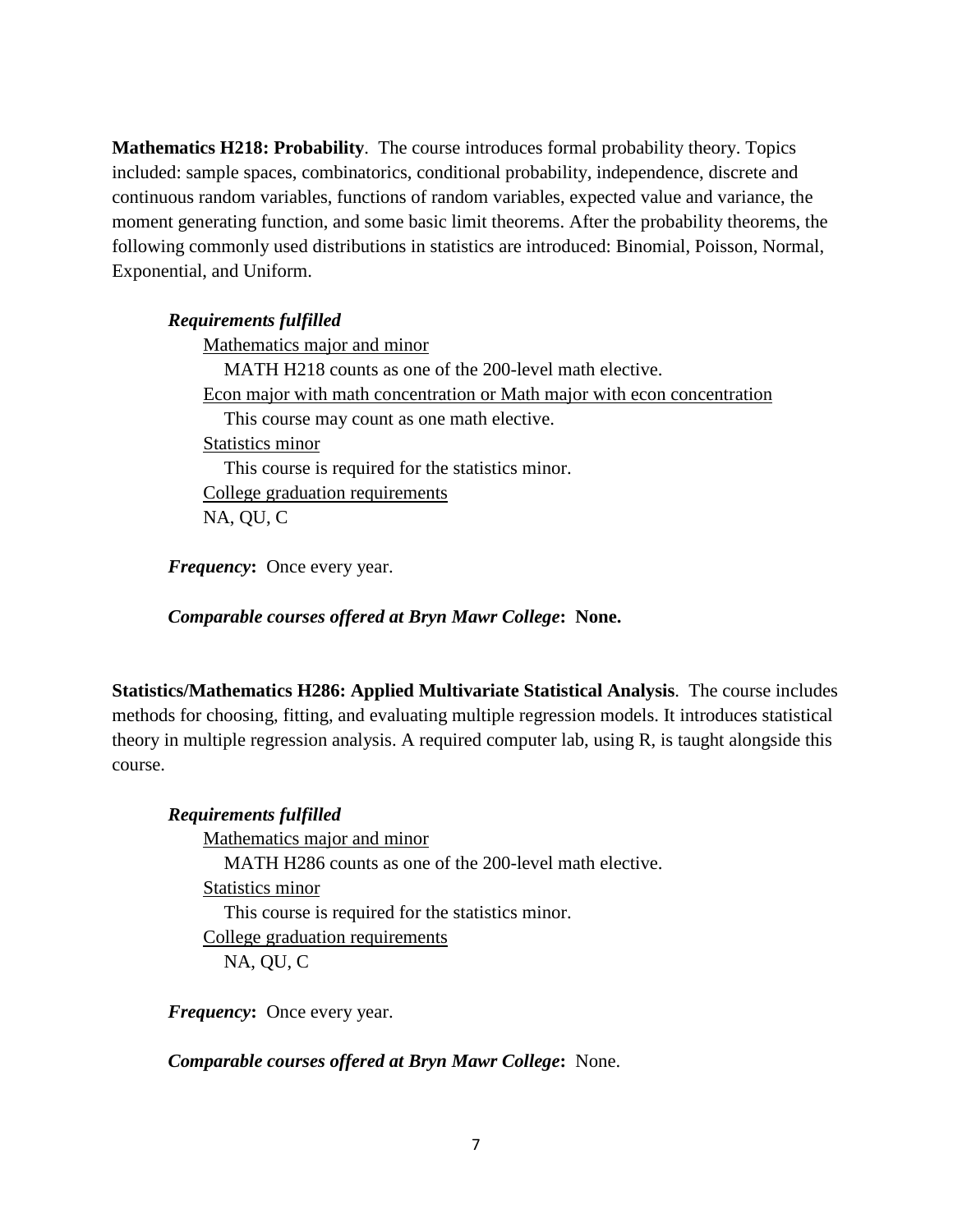**Mathematics H218: Probability**. The course introduces formal probability theory. Topics included: sample spaces, combinatorics, conditional probability, independence, discrete and continuous random variables, functions of random variables, expected value and variance, the moment generating function, and some basic limit theorems. After the probability theorems, the following commonly used distributions in statistics are introduced: Binomial, Poisson, Normal, Exponential, and Uniform.

## *Requirements fulfilled*

Mathematics major and minor MATH H218 counts as one of the 200-level math elective. Econ major with math concentration or Math major with econ concentration This course may count as one math elective. Statistics minor This course is required for the statistics minor. College graduation requirements NA, QU, C

*Frequency***:** Once every year.

*Comparable courses offered at Bryn Mawr College***: None.**

**Statistics/Mathematics H286: Applied Multivariate Statistical Analysis**. The course includes methods for choosing, fitting, and evaluating multiple regression models. It introduces statistical theory in multiple regression analysis. A required computer lab, using R, is taught alongside this course.

# *Requirements fulfilled*

Mathematics major and minor MATH H286 counts as one of the 200-level math elective. Statistics minor This course is required for the statistics minor. College graduation requirements NA, QU, C

*Frequency***:** Once every year.

*Comparable courses offered at Bryn Mawr College***:** None.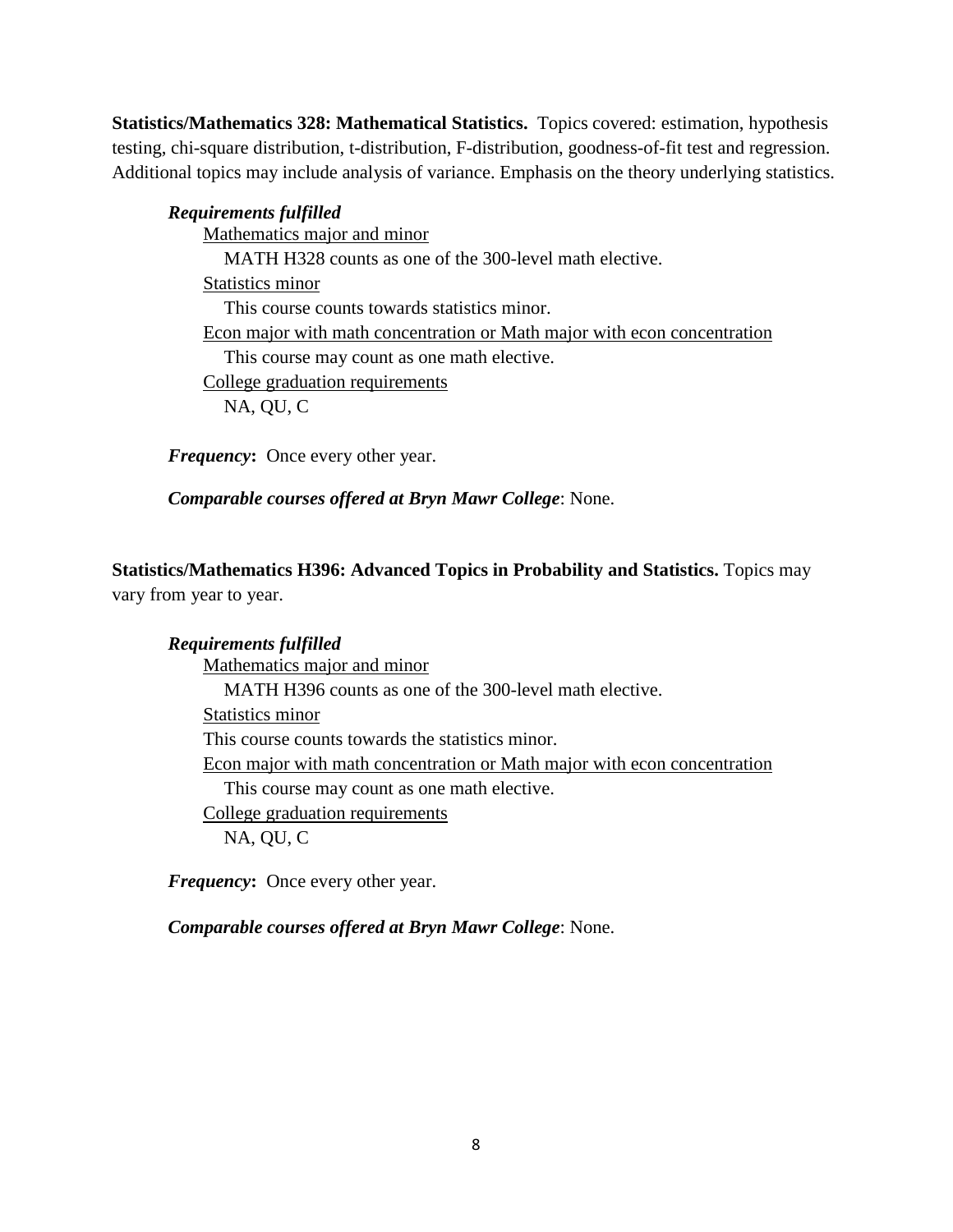**Statistics/Mathematics 328: Mathematical Statistics.** Topics covered: estimation, hypothesis testing, chi-square distribution, t-distribution, F-distribution, goodness-of-fit test and regression. Additional topics may include analysis of variance. Emphasis on the theory underlying statistics.

*Requirements fulfilled* Mathematics major and minor MATH H328 counts as one of the 300-level math elective. Statistics minor This course counts towards statistics minor. Econ major with math concentration or Math major with econ concentration This course may count as one math elective. College graduation requirements NA, QU, C

*Frequency***:** Once every other year.

*Comparable courses offered at Bryn Mawr College*: None.

**Statistics/Mathematics H396: Advanced Topics in Probability and Statistics.** Topics may vary from year to year.

*Requirements fulfilled* Mathematics major and minor MATH H396 counts as one of the 300-level math elective. Statistics minor This course counts towards the statistics minor. Econ major with math concentration or Math major with econ concentration This course may count as one math elective. College graduation requirements NA, QU, C

*Frequency***:** Once every other year.

*Comparable courses offered at Bryn Mawr College*: None.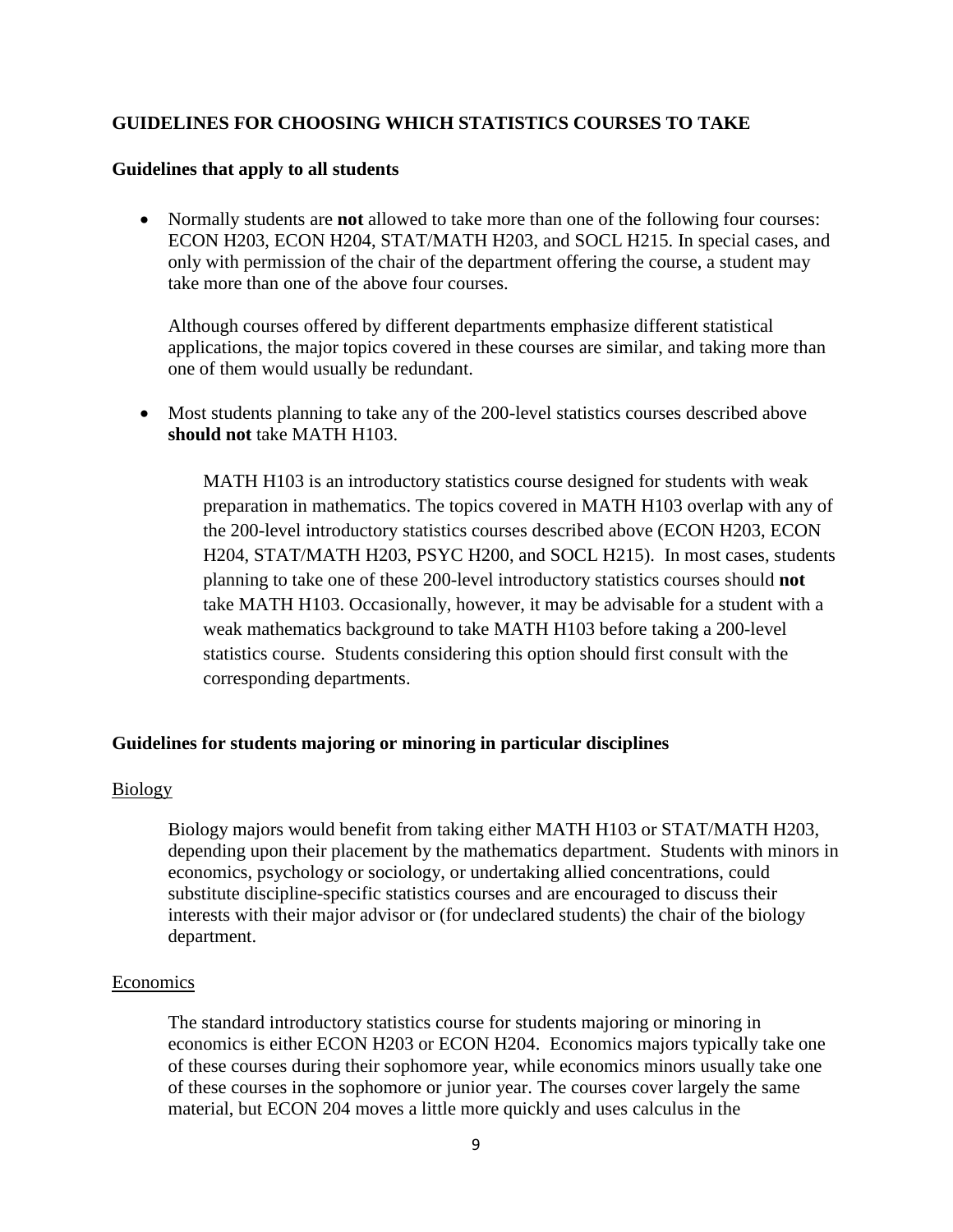# **GUIDELINES FOR CHOOSING WHICH STATISTICS COURSES TO TAKE**

### **Guidelines that apply to all students**

• Normally students are **not** allowed to take more than one of the following four courses: ECON H203, ECON H204, STAT/MATH H203, and SOCL H215. In special cases, and only with permission of the chair of the department offering the course, a student may take more than one of the above four courses.

Although courses offered by different departments emphasize different statistical applications, the major topics covered in these courses are similar, and taking more than one of them would usually be redundant.

• Most students planning to take any of the 200-level statistics courses described above **should not** take MATH H103.

MATH H103 is an introductory statistics course designed for students with weak preparation in mathematics. The topics covered in MATH H103 overlap with any of the 200-level introductory statistics courses described above (ECON H203, ECON H204, STAT/MATH H203, PSYC H200, and SOCL H215). In most cases, students planning to take one of these 200-level introductory statistics courses should **not** take MATH H103. Occasionally, however, it may be advisable for a student with a weak mathematics background to take MATH H103 before taking a 200-level statistics course. Students considering this option should first consult with the corresponding departments.

## **Guidelines for students majoring or minoring in particular disciplines**

#### **Biology**

Biology majors would benefit from taking either MATH H103 or STAT/MATH H203, depending upon their placement by the mathematics department. Students with minors in economics, psychology or sociology, or undertaking allied concentrations, could substitute discipline-specific statistics courses and are encouraged to discuss their interests with their major advisor or (for undeclared students) the chair of the biology department.

#### Economics

The standard introductory statistics course for students majoring or minoring in economics is either ECON H203 or ECON H204. Economics majors typically take one of these courses during their sophomore year, while economics minors usually take one of these courses in the sophomore or junior year. The courses cover largely the same material, but ECON 204 moves a little more quickly and uses calculus in the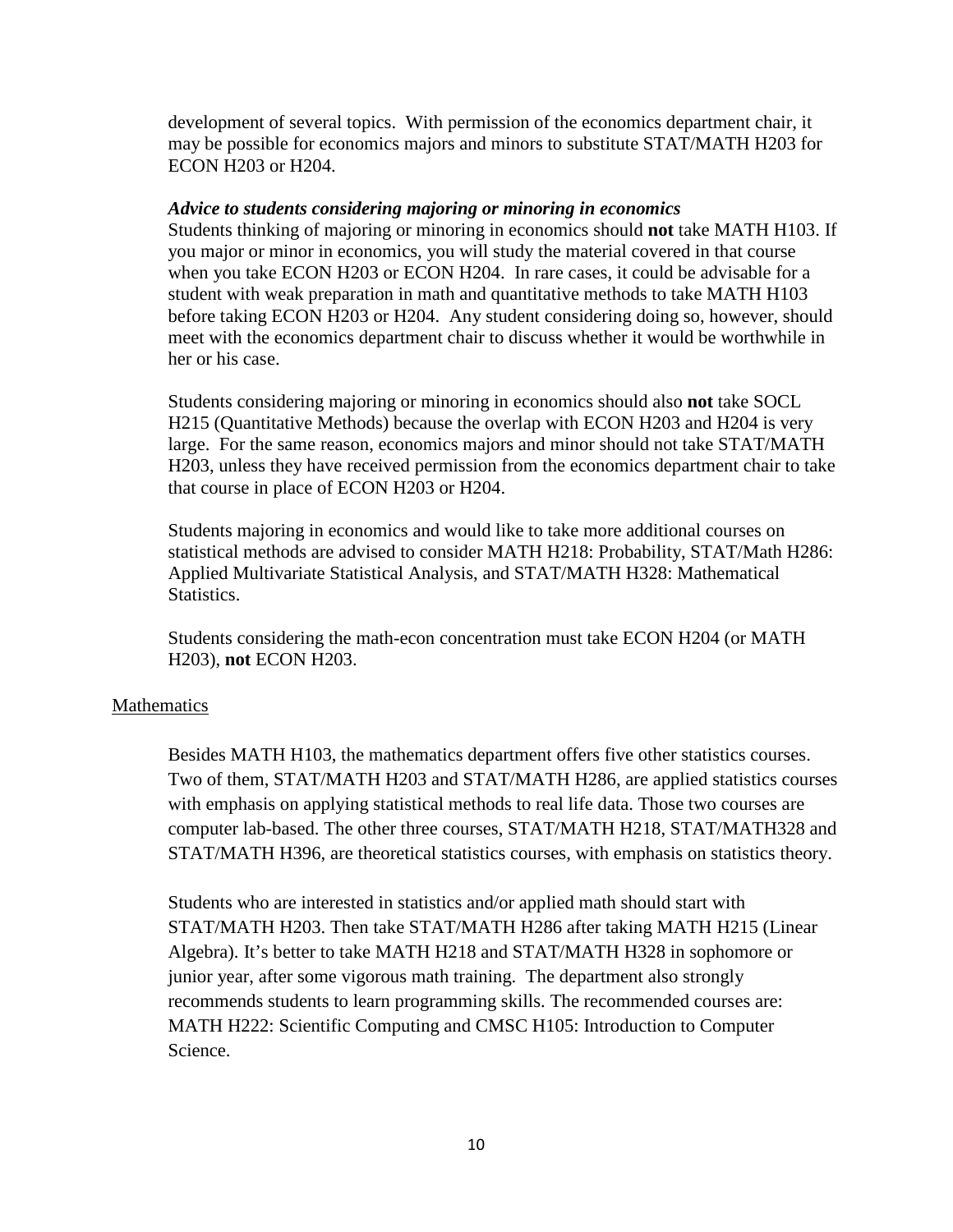development of several topics. With permission of the economics department chair, it may be possible for economics majors and minors to substitute STAT/MATH H203 for ECON H203 or H204.

### *Advice to students considering majoring or minoring in economics*

Students thinking of majoring or minoring in economics should **not** take MATH H103. If you major or minor in economics, you will study the material covered in that course when you take ECON H203 or ECON H204. In rare cases, it could be advisable for a student with weak preparation in math and quantitative methods to take MATH H103 before taking ECON H203 or H204. Any student considering doing so, however, should meet with the economics department chair to discuss whether it would be worthwhile in her or his case.

Students considering majoring or minoring in economics should also **not** take SOCL H215 (Quantitative Methods) because the overlap with ECON H203 and H204 is very large. For the same reason, economics majors and minor should not take STAT/MATH H203, unless they have received permission from the economics department chair to take that course in place of ECON H203 or H204.

Students majoring in economics and would like to take more additional courses on statistical methods are advised to consider MATH H218: Probability, STAT/Math H286: Applied Multivariate Statistical Analysis, and STAT/MATH H328: Mathematical Statistics.

Students considering the math-econ concentration must take ECON H204 (or MATH H203), **not** ECON H203.

## **Mathematics**

Besides MATH H103, the mathematics department offers five other statistics courses. Two of them, STAT/MATH H203 and STAT/MATH H286, are applied statistics courses with emphasis on applying statistical methods to real life data. Those two courses are computer lab-based. The other three courses, STAT/MATH H218, STAT/MATH328 and STAT/MATH H396, are theoretical statistics courses, with emphasis on statistics theory.

Students who are interested in statistics and/or applied math should start with STAT/MATH H203. Then take STAT/MATH H286 after taking MATH H215 (Linear Algebra). It's better to take MATH H218 and STAT/MATH H328 in sophomore or junior year, after some vigorous math training. The department also strongly recommends students to learn programming skills. The recommended courses are: MATH H222: Scientific Computing and CMSC H105: Introduction to Computer Science.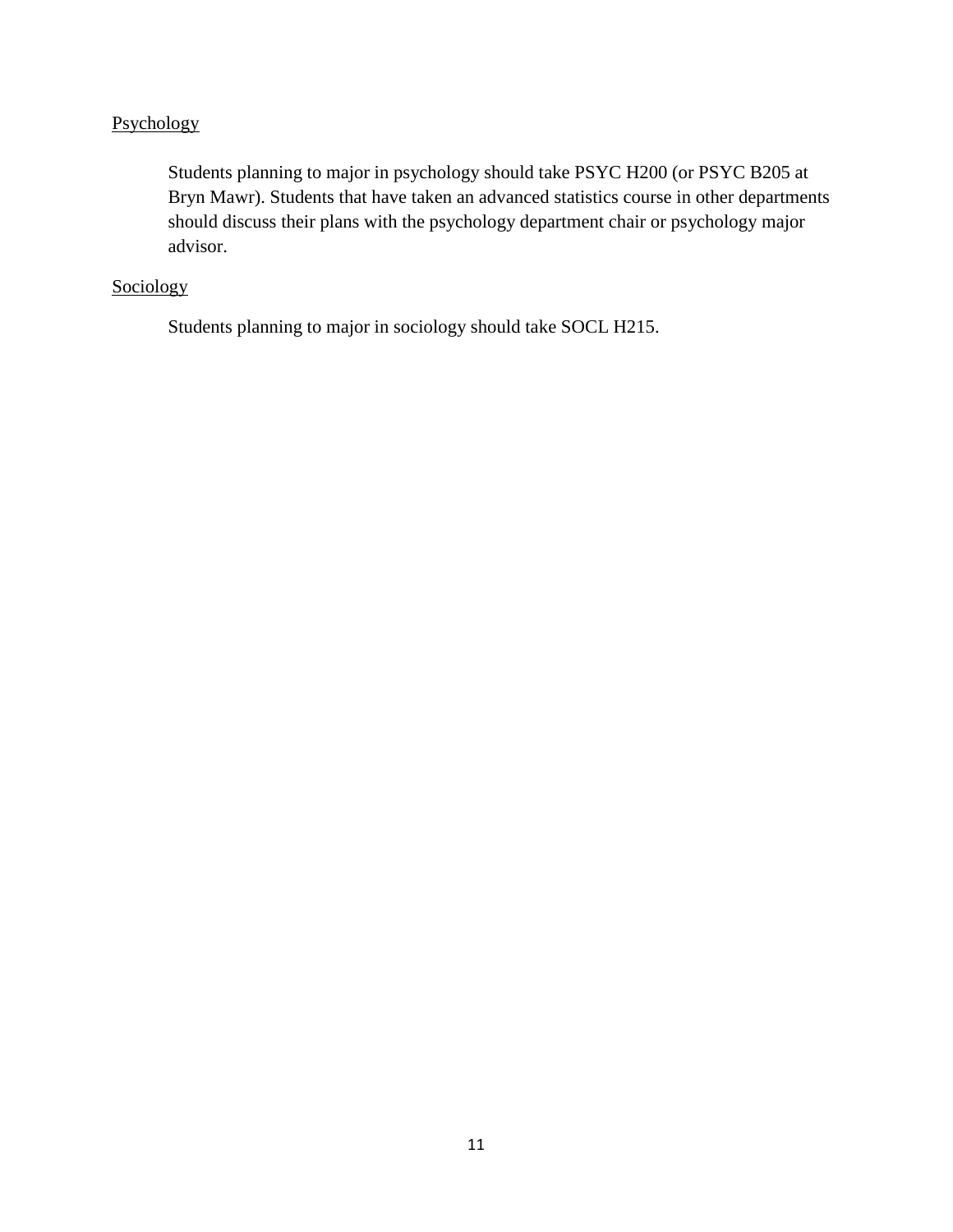# Psychology

Students planning to major in psychology should take PSYC H200 (or PSYC B205 at Bryn Mawr). Students that have taken an advanced statistics course in other departments should discuss their plans with the psychology department chair or psychology major advisor.

# **Sociology**

Students planning to major in sociology should take SOCL H215.